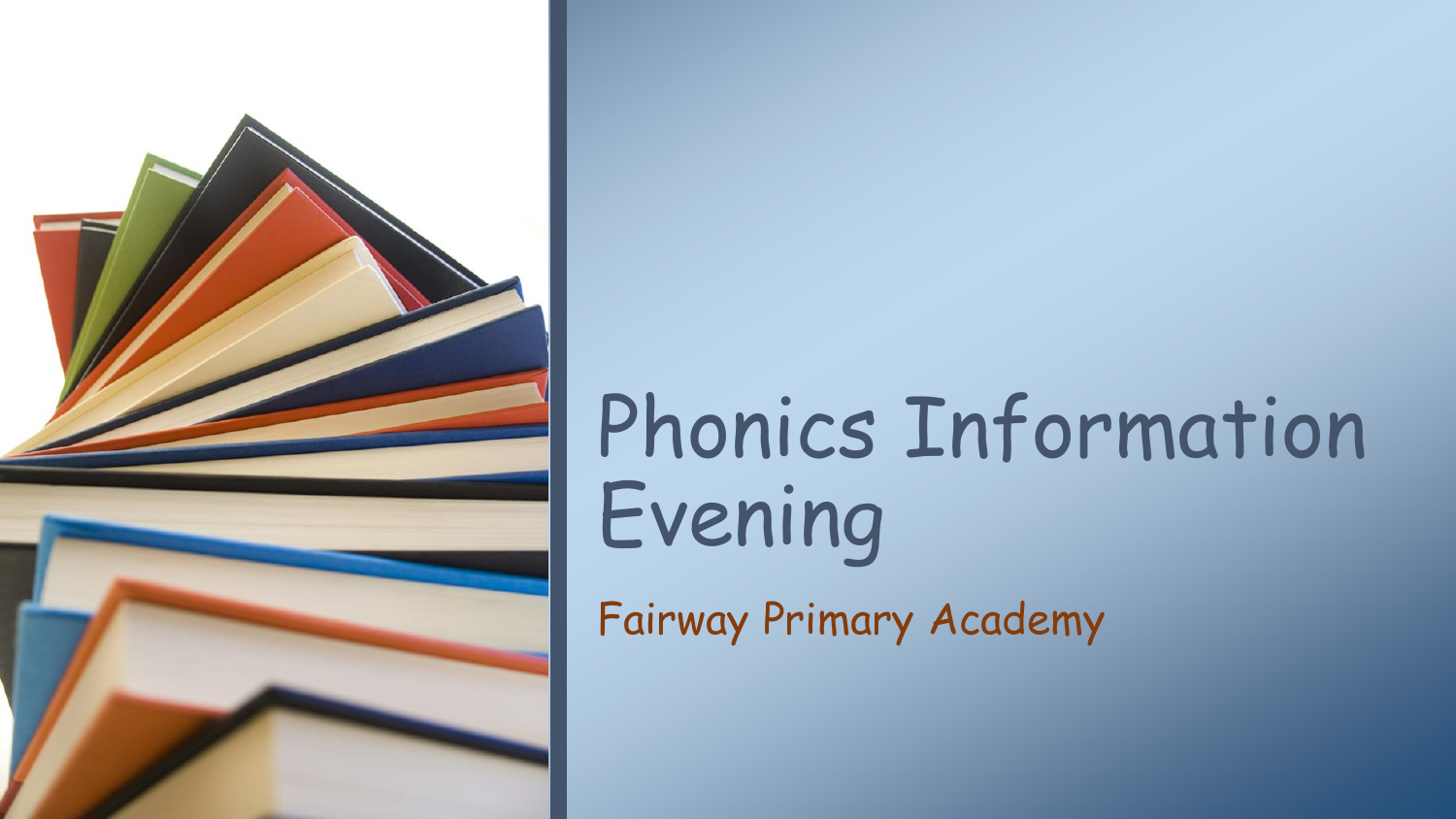

# Phonics Information Evening Fairway Primary Academy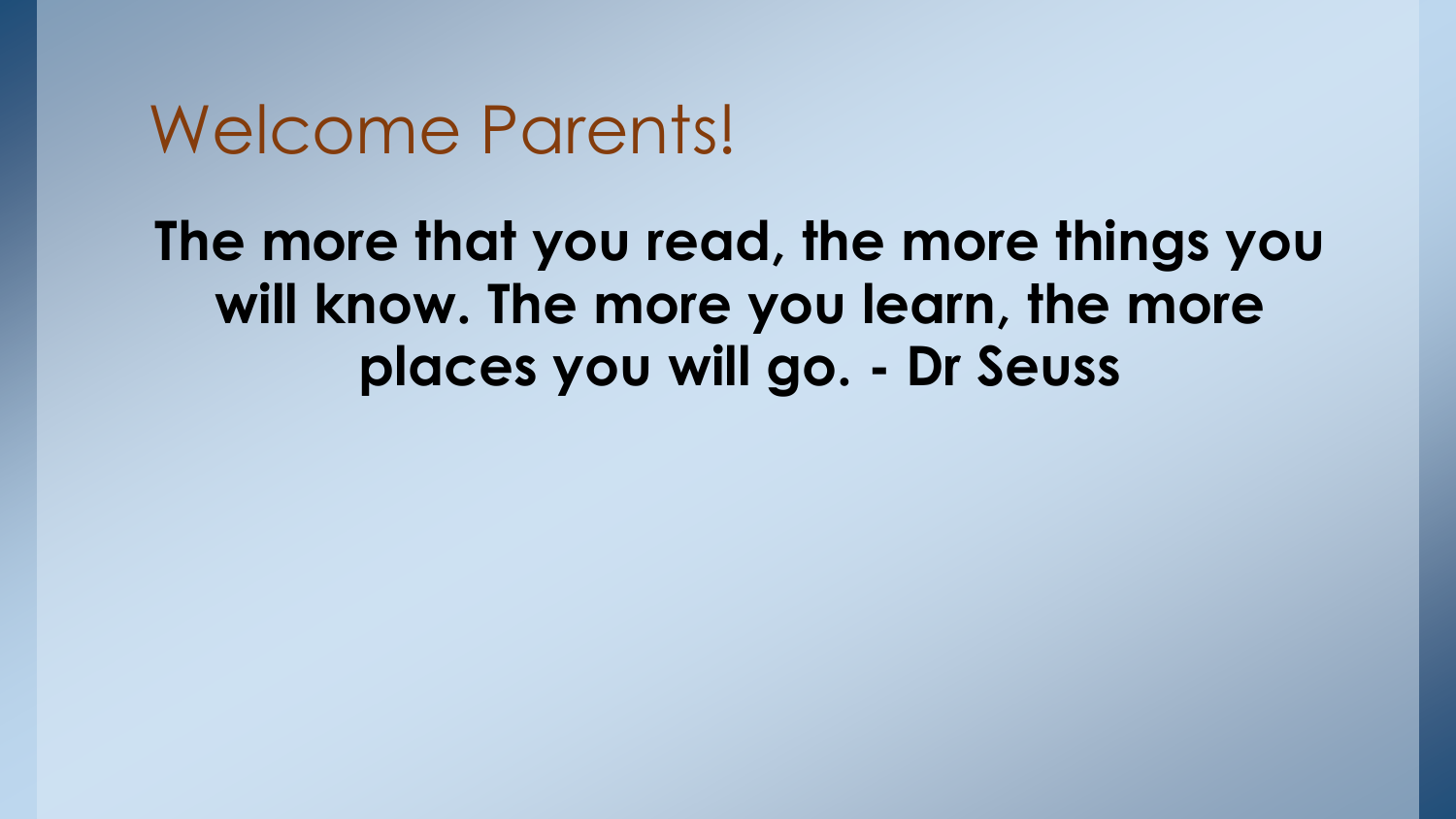### Welcome Parents!

**The more that you read, the more things you will know. The more you learn, the more places you will go. - Dr Seuss**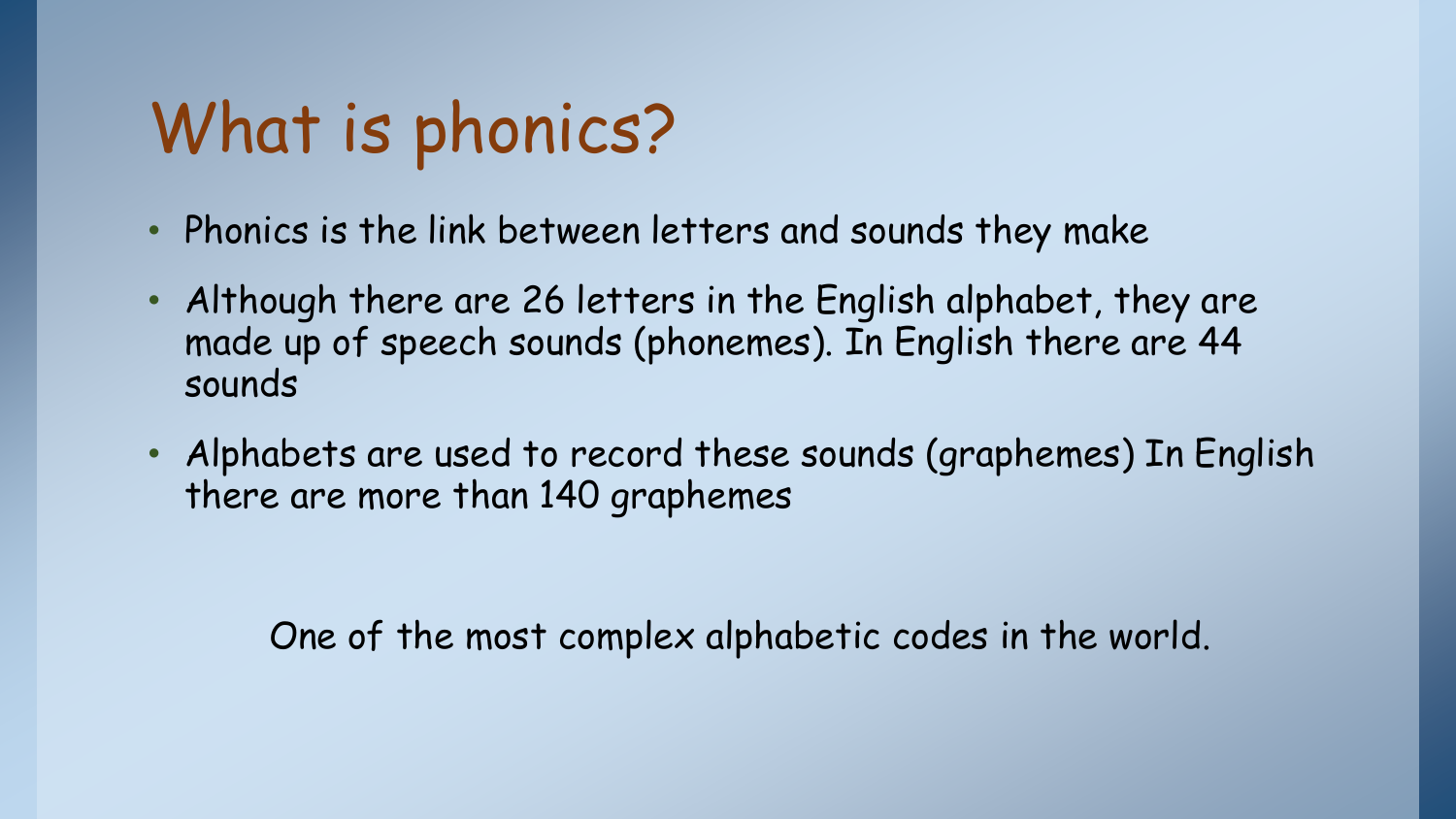## What is phonics?

- Phonics is the link between letters and sounds they make
- Although there are 26 letters in the English alphabet, they are made up of speech sounds (phonemes). In English there are 44 sounds
- Alphabets are used to record these sounds (graphemes) In English there are more than 140 graphemes

One of the most complex alphabetic codes in the world.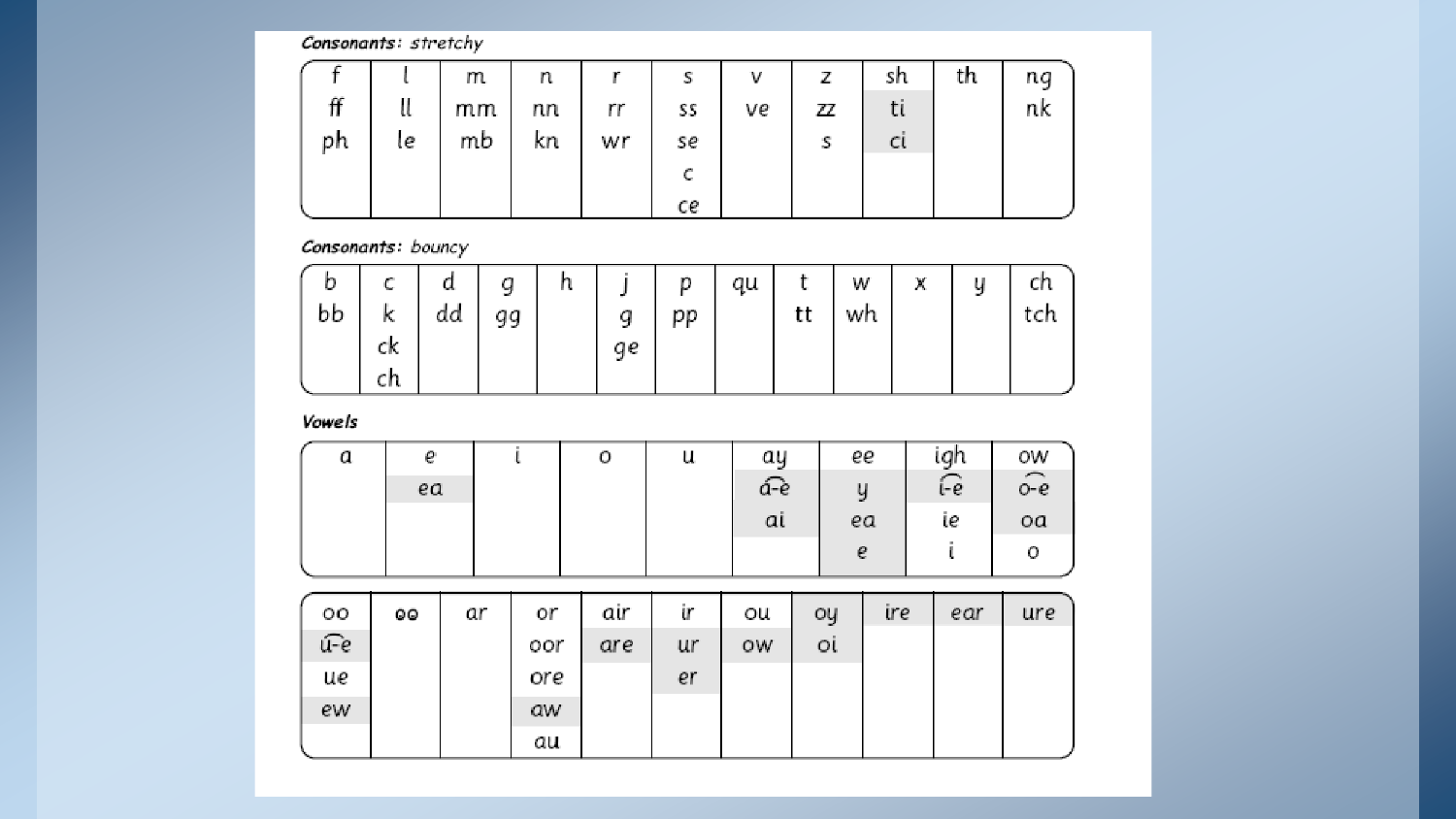#### Consonants: stretchy

|    |    | m  | n  |    | s  | v  | 7  | sh  | th | ng |
|----|----|----|----|----|----|----|----|-----|----|----|
| π  |    | mm | nn | rr | SS | ve | ZZ | u   |    | nk |
| ph | ιe | mb | κn | wr | se |    | s  | Cl. |    |    |
|    |    |    |    |    |    |    |    |     |    |    |
|    |    |    |    |    | ce |    |    |     |    |    |

#### Consonants: bouncy

| b<br>bb | <b>Sec.</b><br>k | ъ.<br>dd | q<br>gg | h |    | D<br>pp | qu | tt | W<br>wh | M.<br>n. | u<br>mark of | No.<br>tch |
|---------|------------------|----------|---------|---|----|---------|----|----|---------|----------|--------------|------------|
|         | ck<br>cп         |          |         |   | qe |         |    |    |         |          |              |            |

Vowels

| a | e  | 0 | u | аy  | ee | igh  | ow                     |
|---|----|---|---|-----|----|------|------------------------|
|   | ea |   |   | á-è | y  | ન્ટિ | $\widehat{\text{o-e}}$ |
|   |    |   |   | αi  | ea | ιe   | oa                     |
|   |    |   |   |     | е  |      | ο                      |

| oo  | 99 | ar | or  | air | ir | ou | oy | ire | ear | ure |
|-----|----|----|-----|-----|----|----|----|-----|-----|-----|
| и-е |    |    | oor | are | ur | ow | Οl |     |     |     |
| ue  |    |    | ore |     | er |    |    |     |     |     |
| ew  |    |    | aw  |     |    |    |    |     |     |     |
|     |    |    | au  |     |    |    |    |     |     |     |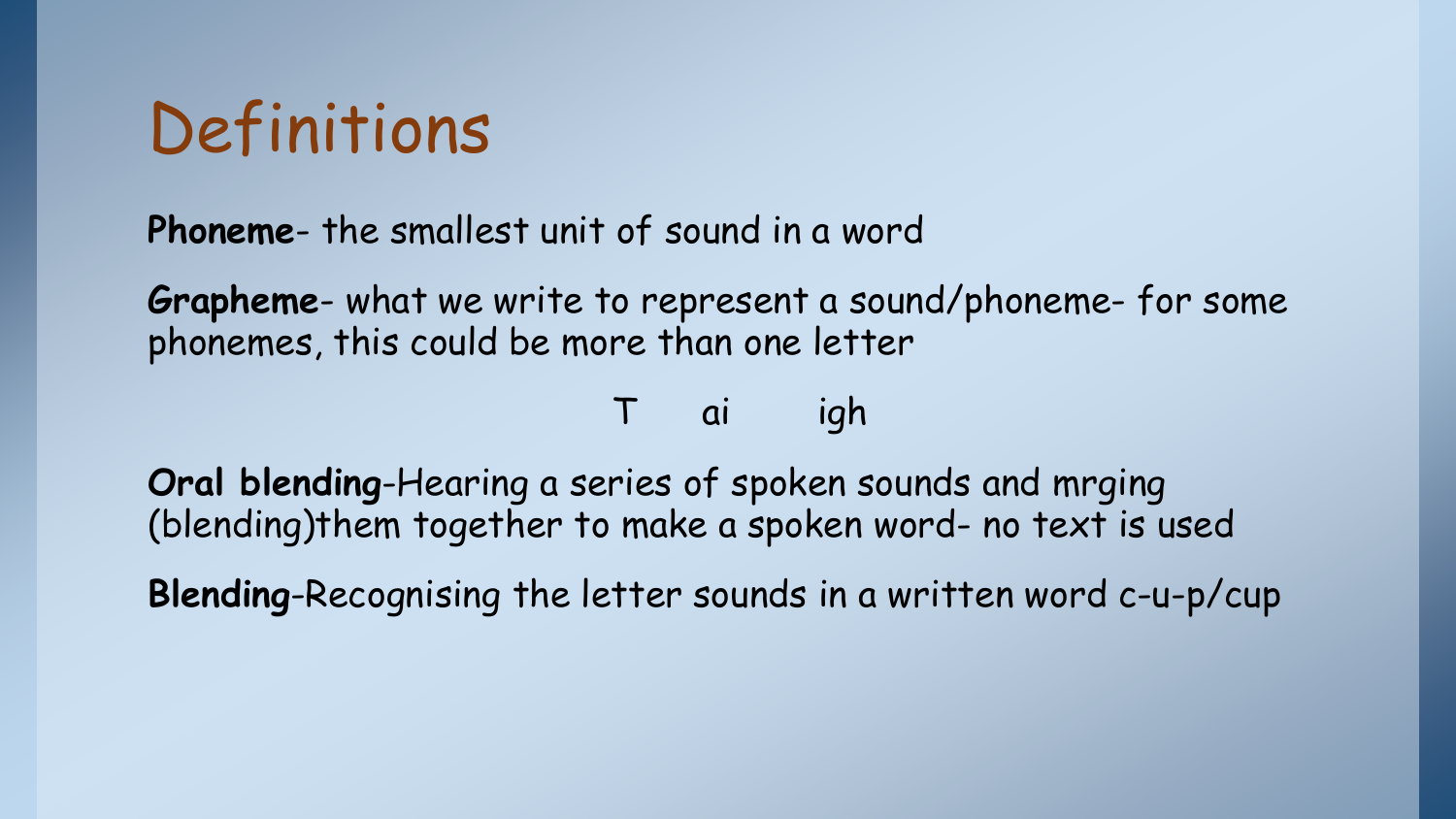### Definitions

**Phoneme**- the smallest unit of sound in a word

**Grapheme**- what we write to represent a sound/phoneme- for some phonemes, this could be more than one letter

ai igh

**Oral blending**-Hearing a series of spoken sounds and mrging (blending)them together to make a spoken word- no text is used

**Blending**-Recognising the letter sounds in a written word c-u-p/cup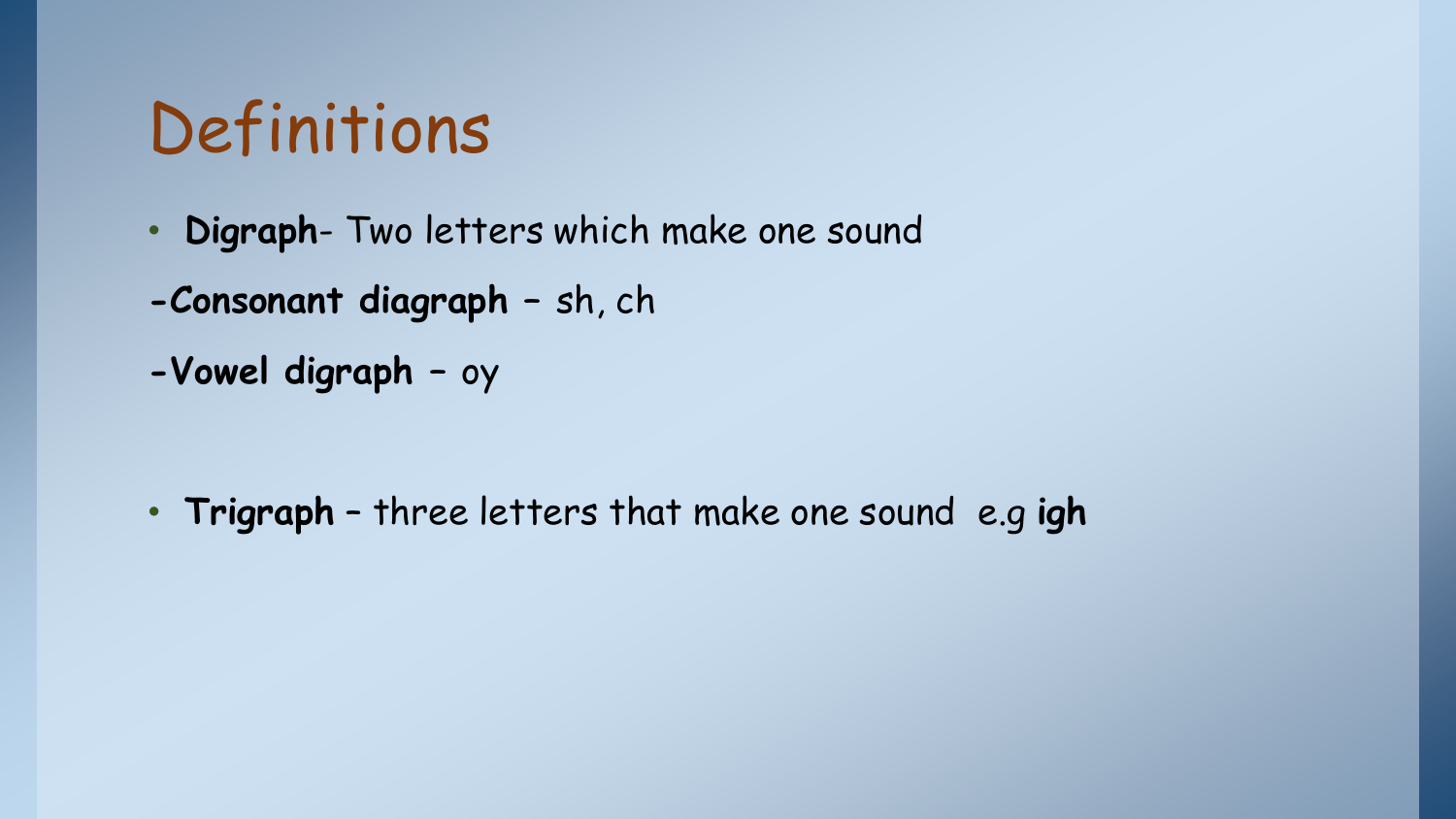### Definitions

- **Digraph** Two letters which make one sound
- **-Consonant diagraph –** sh, ch
- **-Vowel digraph –** oy

• **Trigraph** – three letters that make one sound e.g **igh**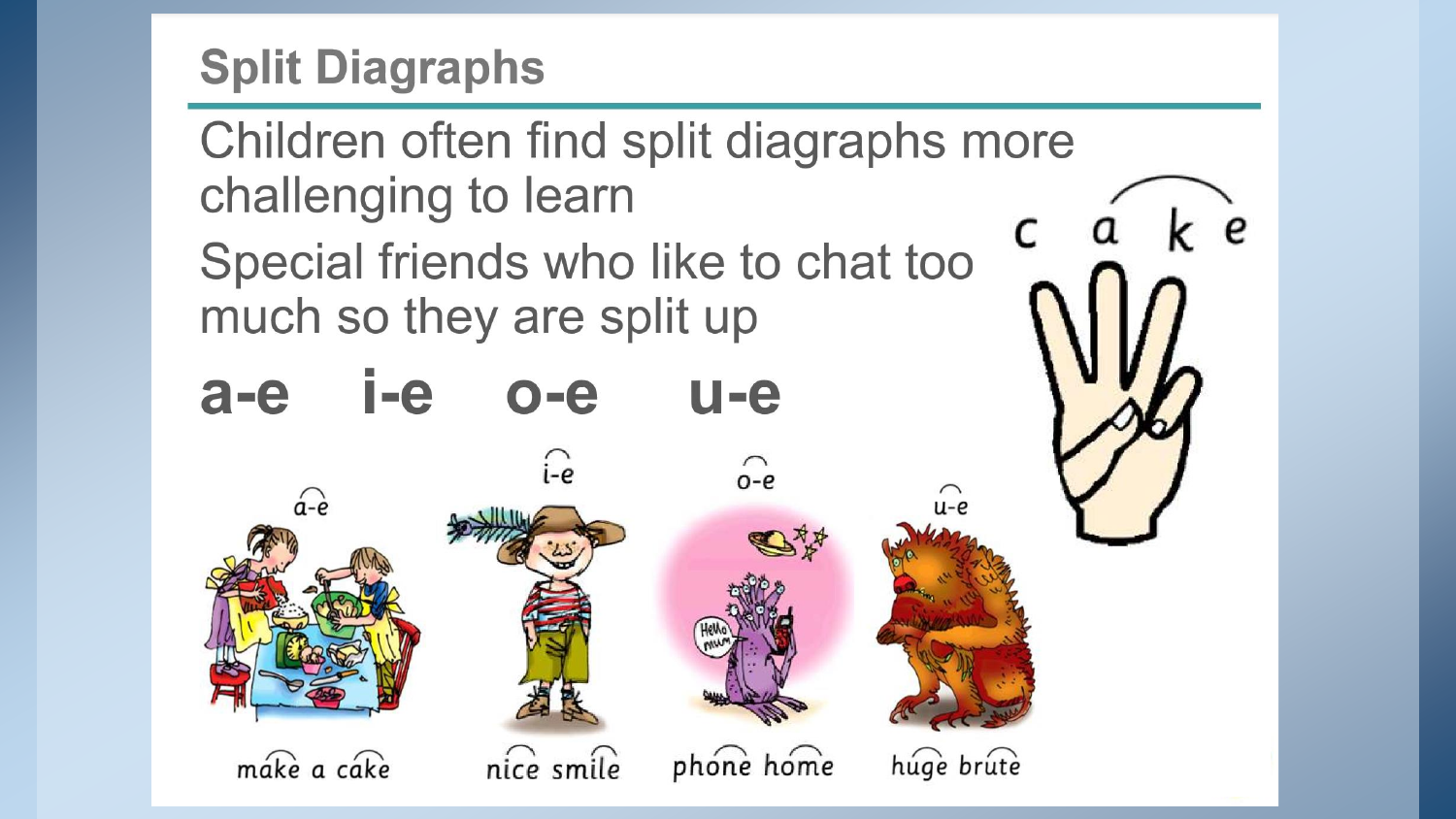### **Split Diagraphs**

Children often find split diagraphs more challenging to learn Special friends who like to chat too much so they are split up

 $\Omega$ 

#### $i$ -e  $U - e$  $a-e$  $O - e$



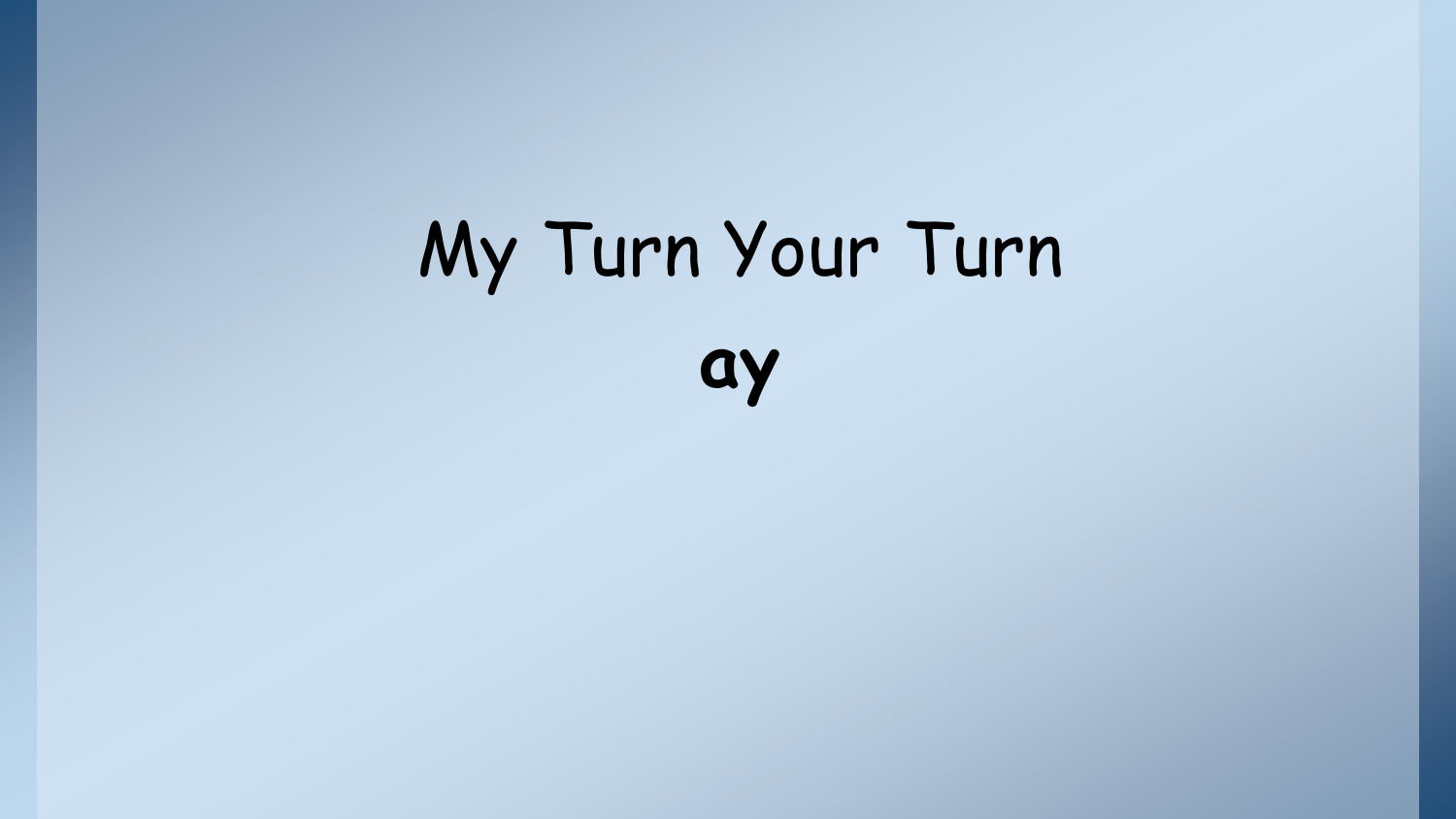# My Turn Your Turn **ay**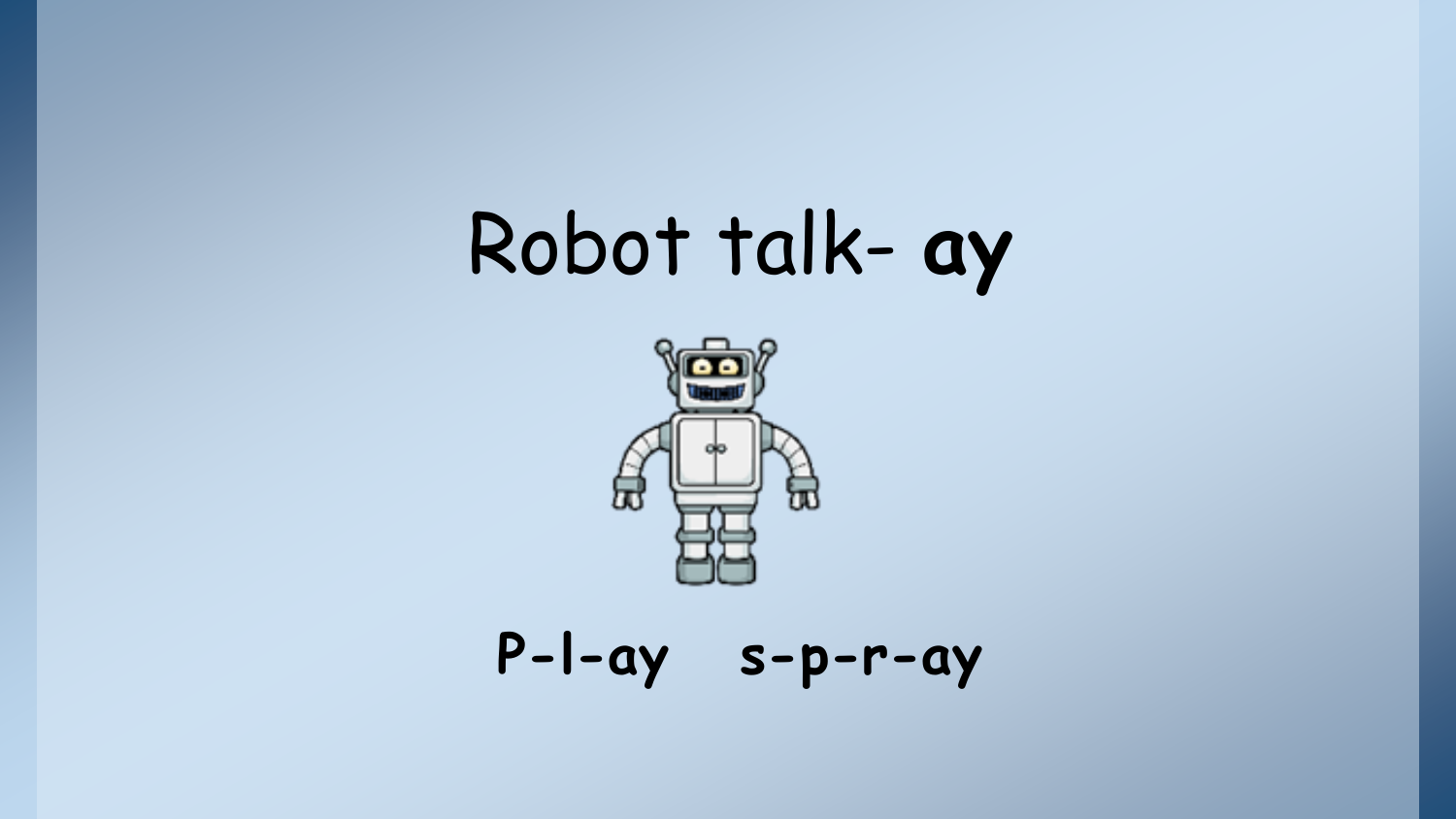# Robot talk- **ay**



**P-l-ay s-p-r-ay**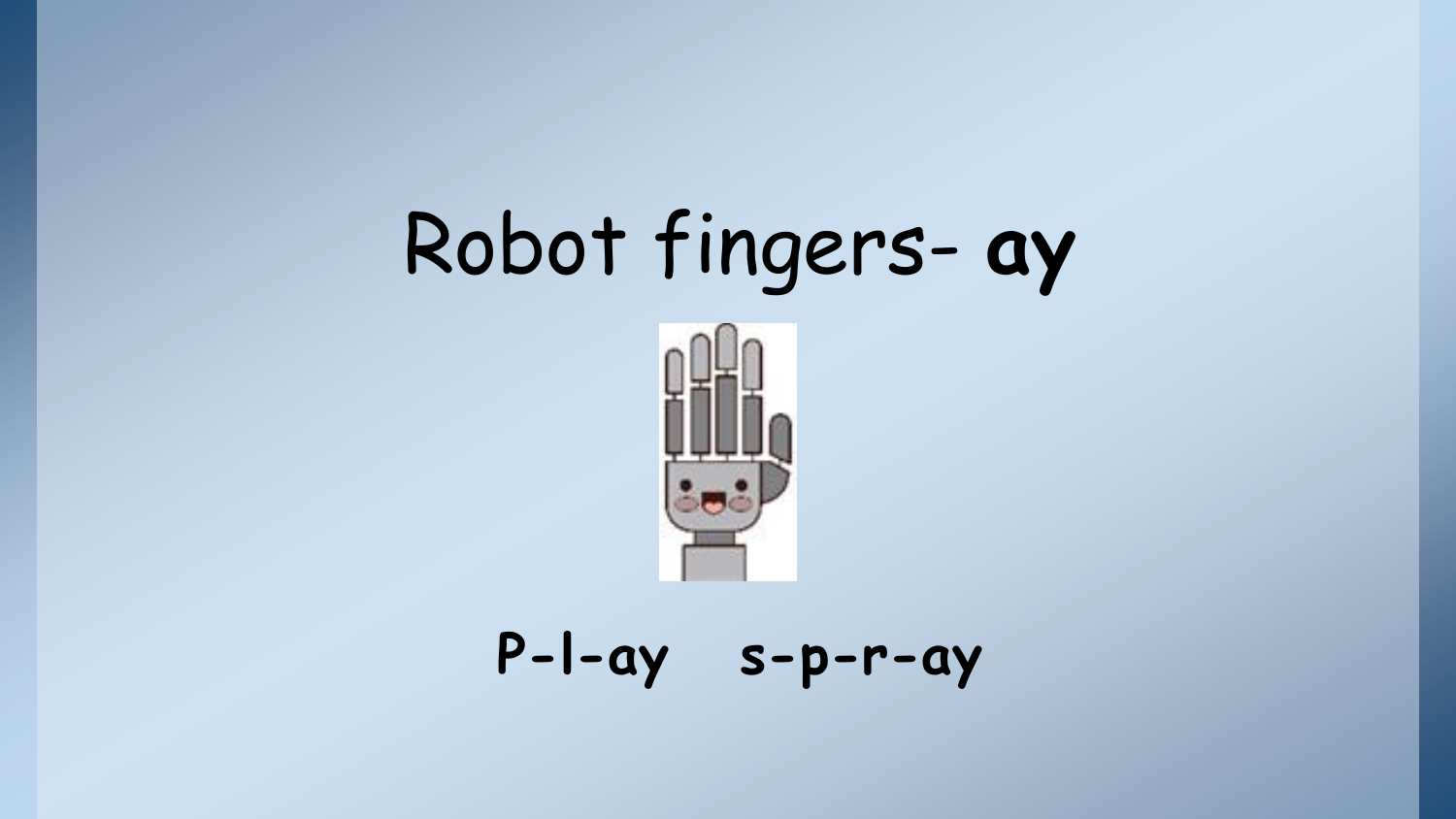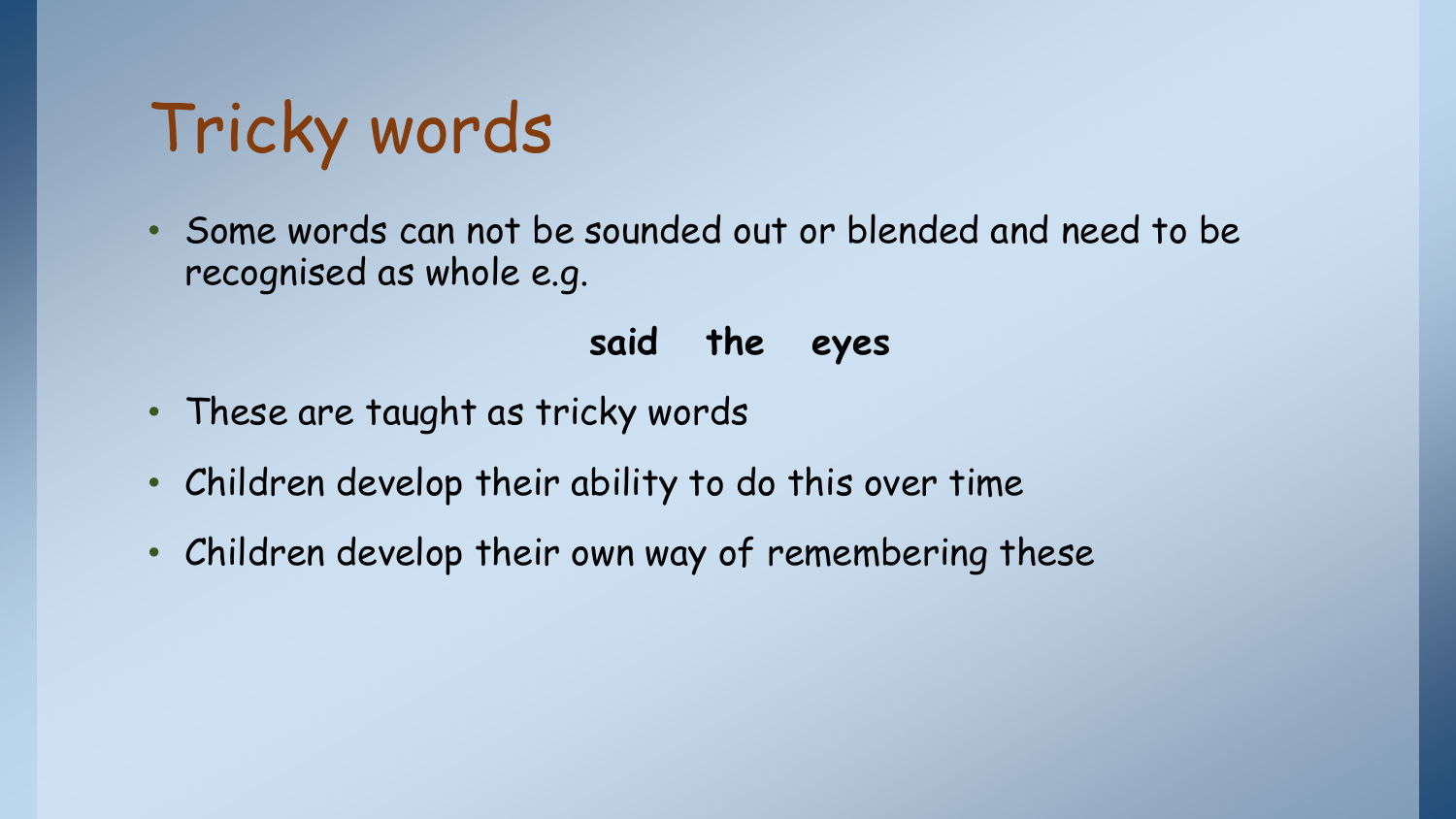## Tricky words

• Some words can not be sounded out or blended and need to be recognised as whole e.g.

### **said the eyes**

- These are taught as tricky words
- Children develop their ability to do this over time
- Children develop their own way of remembering these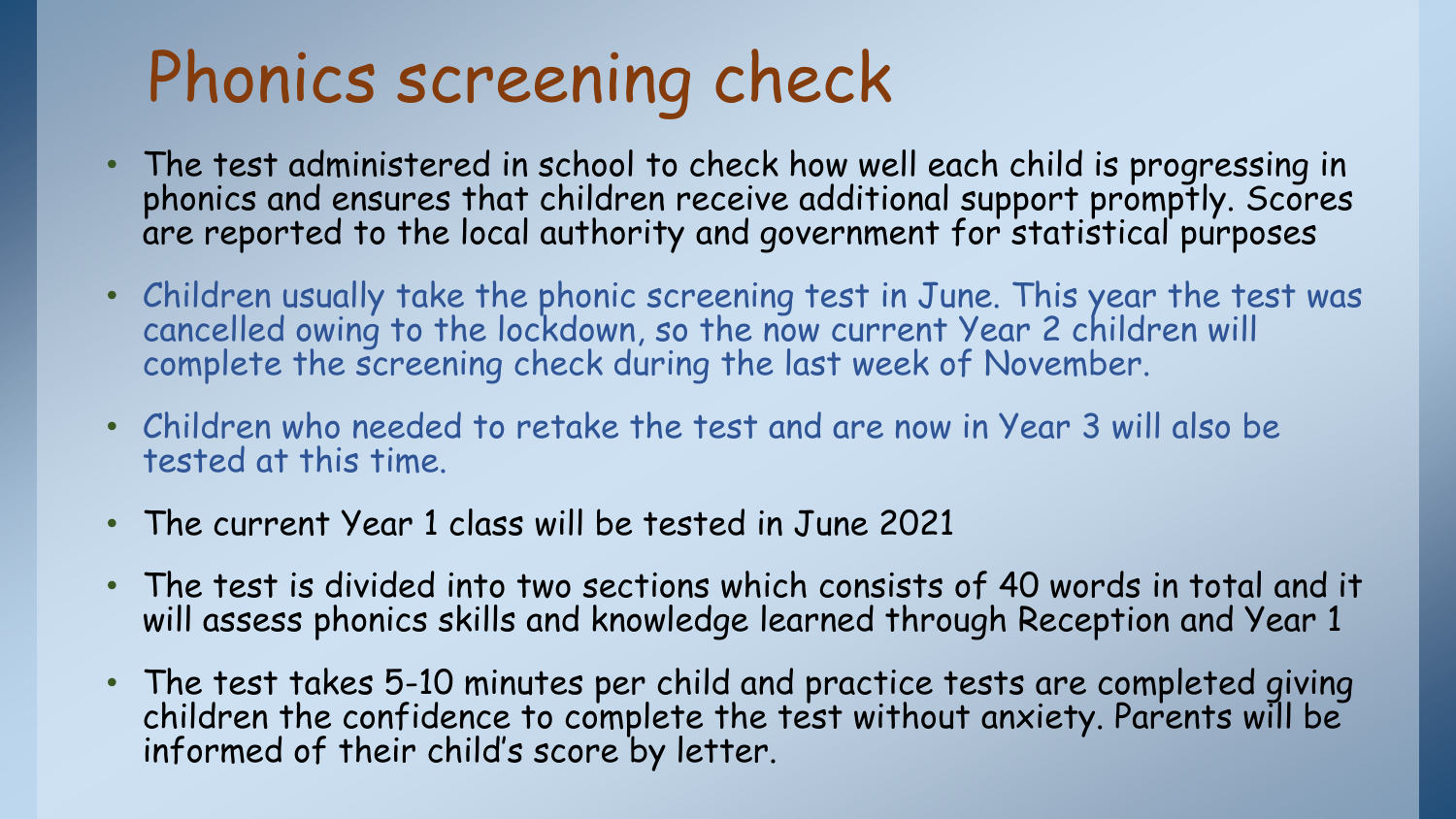## Phonics screening check

- The test administered in school to check how well each child is progressing in phonics and ensures that children receive additional support promptly. Scores are reported to the local authority and government for statistical purposes
- Children usually take the phonic screening test in June. This year the test was cancelled owing to the lockdown, so the now current Year 2 children will complete the screening check during the last week of November.
- Children who needed to retake the test and are now in Year 3 will also be tested at this time.
- The current Year 1 class will be tested in June 2021
- The test is divided into two sections which consists of 40 words in total and it will assess phonics skills and knowledge learned through Reception and Year 1
- The test takes 5-10 minutes per child and practice tests are completed giving children the confidence to complete the test without anxiety. Parents will be informed of their child's score by letter.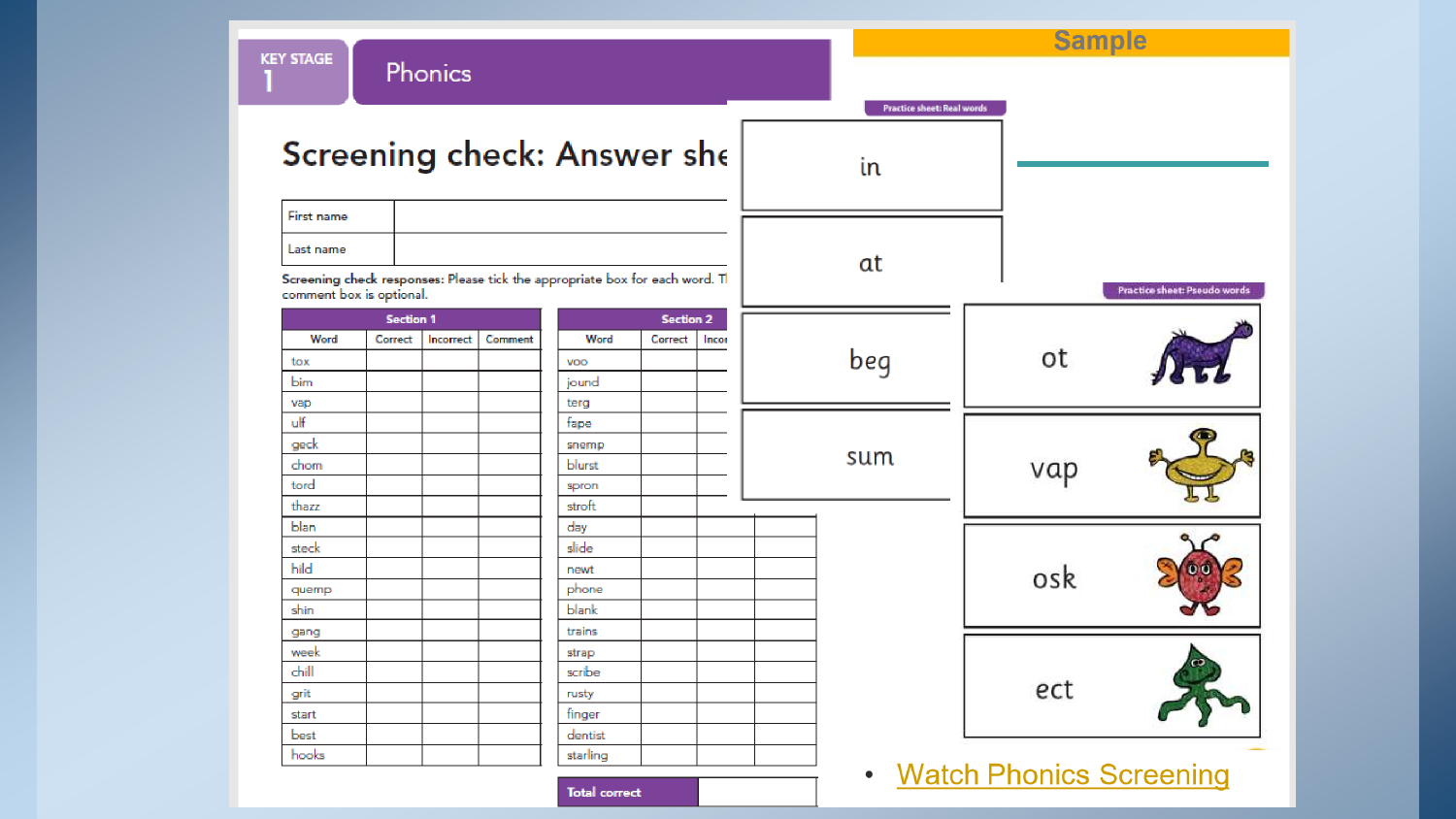| <b>KEY STAGE</b>         |                  | Phonics   |         |                                                                              |                  |       |                                         |                           | <b>Sample</b>                |
|--------------------------|------------------|-----------|---------|------------------------------------------------------------------------------|------------------|-------|-----------------------------------------|---------------------------|------------------------------|
|                          |                  |           |         | Screening check: Answer she                                                  |                  |       | <b>Practice sheet: Real words</b><br>in |                           |                              |
| First name               |                  |           |         |                                                                              |                  |       |                                         |                           |                              |
| Last name                |                  |           |         |                                                                              |                  |       |                                         |                           |                              |
| comment box is optional. |                  |           |         | Screening check responses: Please tick the appropriate box for each word. Tl |                  |       | at                                      |                           | Practice sheet: Pseudo words |
|                          | <b>Section 1</b> |           |         |                                                                              | <b>Section 2</b> |       |                                         |                           |                              |
| Word                     | Correct          | Incorrect | Comment | Word                                                                         | Correct          | Incor |                                         |                           |                              |
| tox                      |                  |           |         | voo                                                                          |                  |       | beg                                     | ot                        |                              |
| <b>bim</b>               |                  |           |         | jound                                                                        |                  |       |                                         |                           |                              |
| vap<br>ulf               |                  |           |         | terg<br>fape                                                                 |                  |       |                                         |                           |                              |
| geck                     |                  |           |         | snemp                                                                        |                  |       |                                         |                           |                              |
| chom                     |                  |           |         | blurst                                                                       |                  |       | sum                                     |                           |                              |
| tord                     |                  |           |         | spron                                                                        |                  |       |                                         | vap                       |                              |
| thazz                    |                  |           |         | stroft                                                                       |                  |       |                                         |                           |                              |
| blan.                    |                  |           |         | day                                                                          |                  |       |                                         |                           |                              |
| steck                    |                  |           |         | slide                                                                        |                  |       |                                         |                           |                              |
| hild                     |                  |           |         | newt                                                                         |                  |       |                                         | osk                       |                              |
| quemp                    |                  |           |         | phone                                                                        |                  |       |                                         |                           |                              |
| shin                     |                  |           |         | blank                                                                        |                  |       |                                         |                           |                              |
| gang                     |                  |           |         | trains                                                                       |                  |       |                                         |                           |                              |
| week                     |                  |           |         | strap                                                                        |                  |       |                                         |                           |                              |
| chill                    |                  |           |         | scribe                                                                       |                  |       |                                         |                           |                              |
| grit                     |                  |           |         | rusty                                                                        |                  |       |                                         | ect                       |                              |
| start                    |                  |           |         | finger                                                                       |                  |       |                                         |                           |                              |
|                          |                  |           |         |                                                                              |                  |       |                                         |                           |                              |
| best<br>hooks            |                  |           |         | dentist<br>starling<br><b>Contract</b>                                       |                  |       |                                         | • Watch Phonics Screening |                              |

Total correct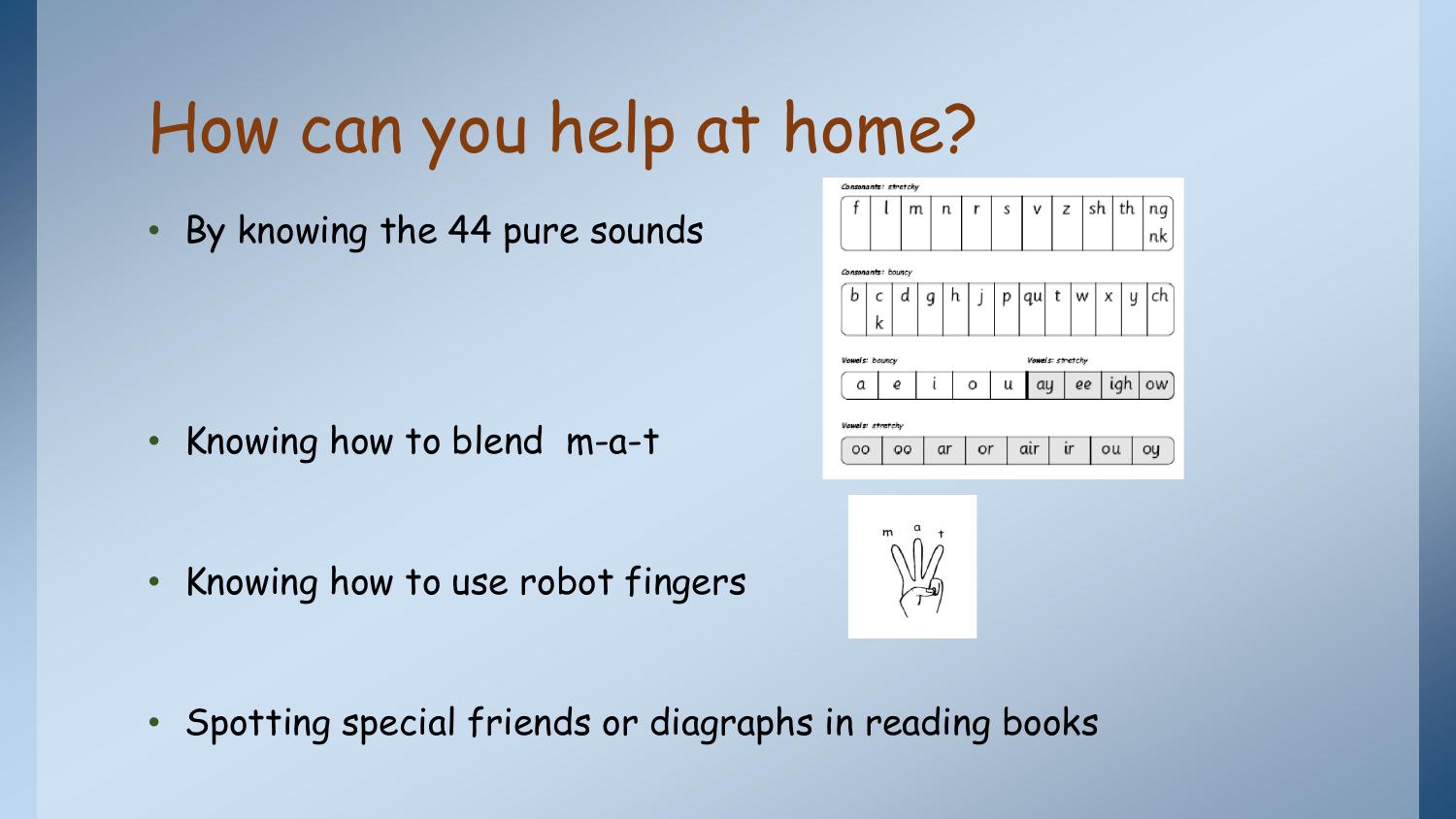## How can you help at home?

• By knowing the 44 pure sounds

• Knowing how to blend m-a-t

• Knowing how to use robot fingers





• Spotting special friends or diagraphs in reading books